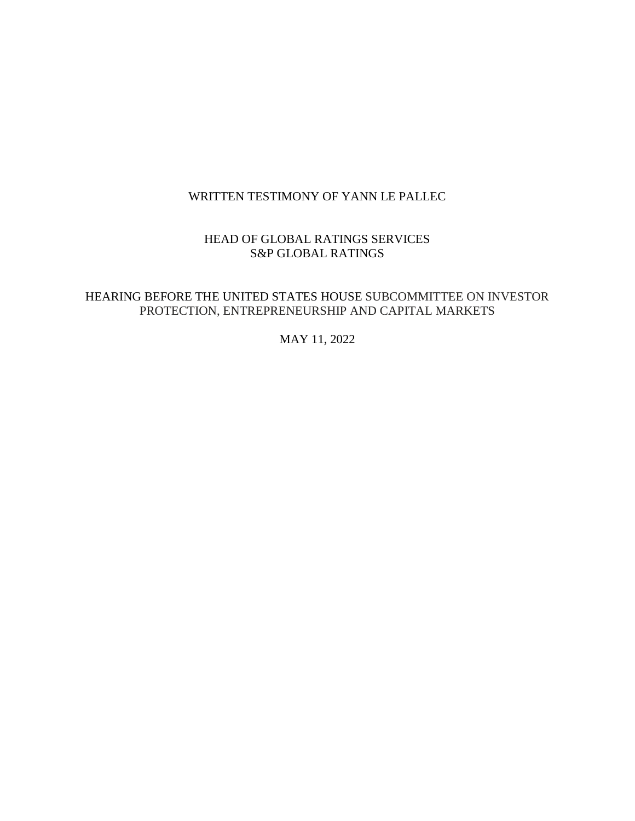# WRITTEN TESTIMONY OF YANN LE PALLEC

## HEAD OF GLOBAL RATINGS SERVICES S&P GLOBAL RATINGS

## HEARING BEFORE THE UNITED STATES HOUSE SUBCOMMITTEE ON INVESTOR PROTECTION, ENTREPRENEURSHIP AND CAPITAL MARKETS

MAY 11, 2022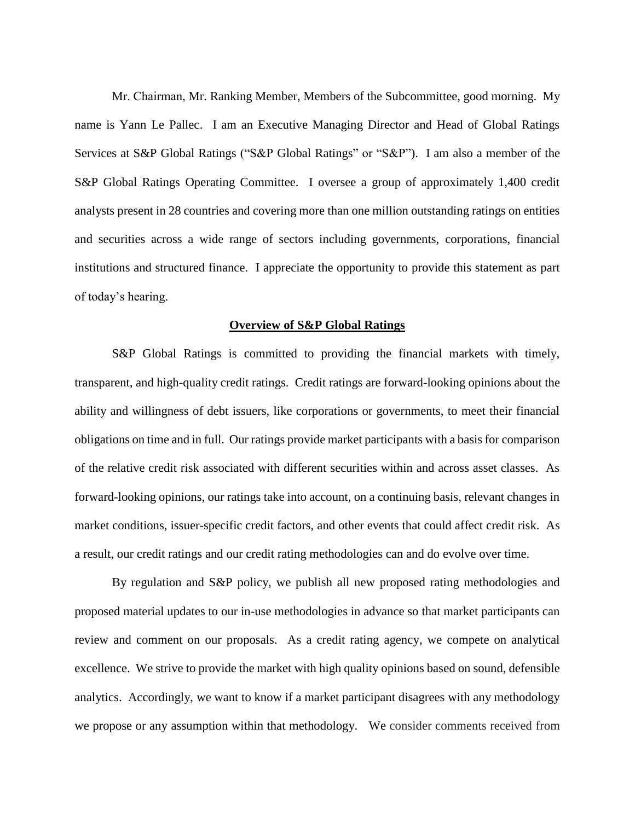Mr. Chairman, Mr. Ranking Member, Members of the Subcommittee, good morning. My name is Yann Le Pallec. I am an Executive Managing Director and Head of Global Ratings Services at S&P Global Ratings ("S&P Global Ratings" or "S&P"). I am also a member of the S&P Global Ratings Operating Committee. I oversee a group of approximately 1,400 credit analysts present in 28 countries and covering more than one million outstanding ratings on entities and securities across a wide range of sectors including governments, corporations, financial institutions and structured finance. I appreciate the opportunity to provide this statement as part of today's hearing.

### **Overview of S&P Global Ratings**

S&P Global Ratings is committed to providing the financial markets with timely, transparent, and high-quality credit ratings. Credit ratings are forward-looking opinions about the ability and willingness of debt issuers, like corporations or governments, to meet their financial obligations on time and in full. Our ratings provide market participants with a basis for comparison of the relative credit risk associated with different securities within and across asset classes. As forward-looking opinions, our ratings take into account, on a continuing basis, relevant changes in market conditions, issuer-specific credit factors, and other events that could affect credit risk. As a result, our credit ratings and our credit rating methodologies can and do evolve over time.

By regulation and S&P policy, we publish all new proposed rating methodologies and proposed material updates to our in-use methodologies in advance so that market participants can review and comment on our proposals. As a credit rating agency, we compete on analytical excellence. We strive to provide the market with high quality opinions based on sound, defensible analytics. Accordingly, we want to know if a market participant disagrees with any methodology we propose or any assumption within that methodology. We consider comments received from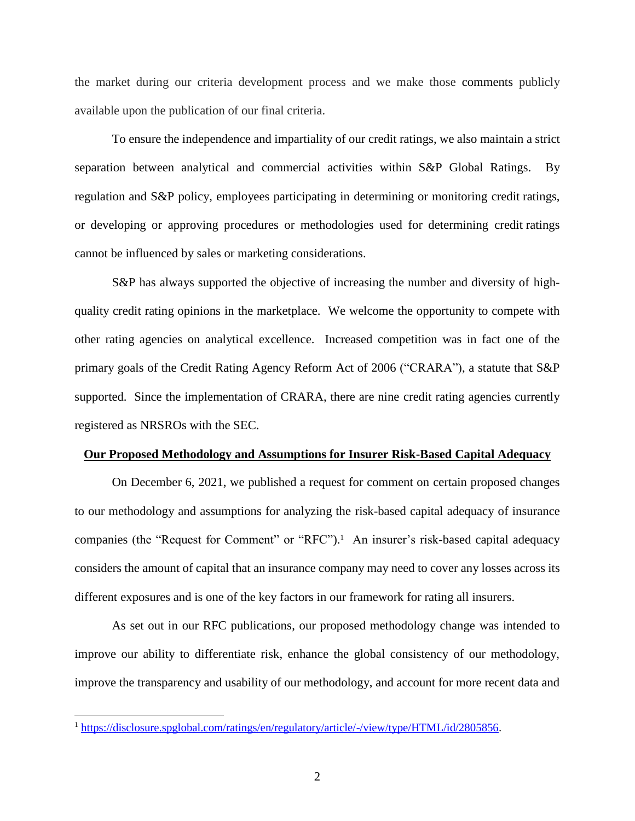the market during our criteria development process and we make those comments publicly available upon the publication of our final criteria.

To ensure the independence and impartiality of our credit ratings, we also maintain a strict separation between analytical and commercial activities within S&P Global Ratings. By regulation and S&P policy, employees participating in determining or monitoring [credit](https://www.law.cornell.edu/definitions/index.php?width=840&height=800&iframe=true&def_id=7fc26a46e1c4182b3cec2dad5fe006fb&term_occur=999&term_src=Title:17:Chapter:II:Part:240:Subjgrp:109:240.17g-5) ratings, or developing or approving procedures or methodologies used for determining [credit](https://www.law.cornell.edu/definitions/index.php?width=840&height=800&iframe=true&def_id=7fc26a46e1c4182b3cec2dad5fe006fb&term_occur=999&term_src=Title:17:Chapter:II:Part:240:Subjgrp:109:240.17g-5) ratings cannot be influenced by sales or marketing considerations.

S&P has always supported the objective of increasing the number and diversity of highquality credit rating opinions in the marketplace. We welcome the opportunity to compete with other rating agencies on analytical excellence. Increased competition was in fact one of the primary goals of the Credit Rating Agency Reform Act of 2006 ("CRARA"), a statute that S&P supported. Since the implementation of CRARA, there are nine credit rating agencies currently registered as NRSROs with the SEC.

### **Our Proposed Methodology and Assumptions for Insurer Risk-Based Capital Adequacy**

On December 6, 2021, we published a request for comment on certain proposed changes to our methodology and assumptions for analyzing the risk-based capital adequacy of insurance companies (the "Request for Comment" or "RFC"). 1 An insurer's risk-based capital adequacy considers the amount of capital that an insurance company may need to cover any losses across its different exposures and is one of the key factors in our framework for rating all insurers.

As set out in our RFC publications, our proposed methodology change was intended to improve our ability to differentiate risk, enhance the global consistency of our methodology, improve the transparency and usability of our methodology, and account for more recent data and

 $\overline{a}$ 

<sup>&</sup>lt;sup>1</sup> [https://disclosure.spglobal.com/ratings/en/regulatory/article/-/view/type/HTML/id/2805856.](https://disclosure.spglobal.com/ratings/en/regulatory/article/-/view/type/HTML/id/2805856)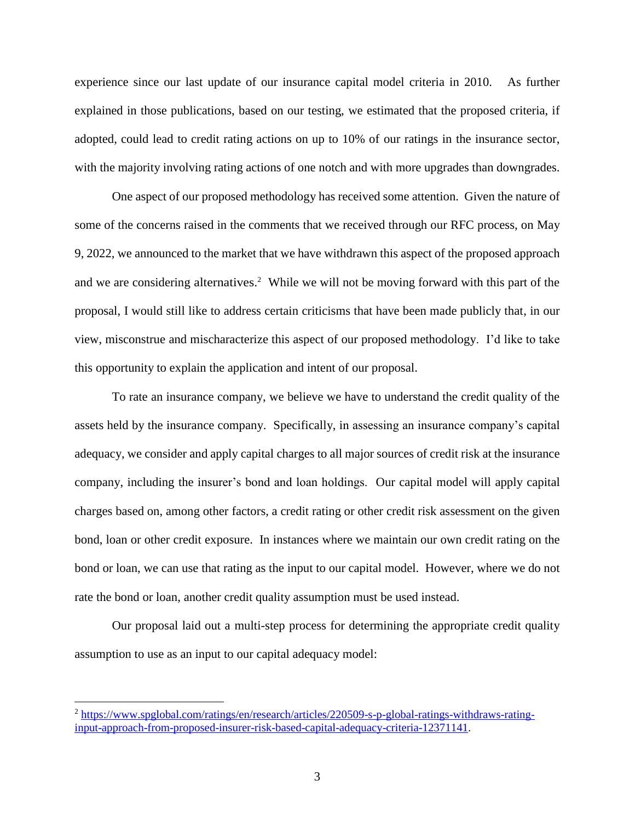experience since our last update of our insurance capital model criteria in 2010. As further explained in those publications, based on our testing, we estimated that the proposed criteria, if adopted, could lead to credit rating actions on up to 10% of our ratings in the insurance sector, with the majority involving rating actions of one notch and with more upgrades than downgrades.

One aspect of our proposed methodology has received some attention. Given the nature of some of the concerns raised in the comments that we received through our RFC process, on May 9, 2022, we announced to the market that we have withdrawn this aspect of the proposed approach and we are considering alternatives.<sup>2</sup> While we will not be moving forward with this part of the proposal, I would still like to address certain criticisms that have been made publicly that, in our view, misconstrue and mischaracterize this aspect of our proposed methodology. I'd like to take this opportunity to explain the application and intent of our proposal.

To rate an insurance company, we believe we have to understand the credit quality of the assets held by the insurance company. Specifically, in assessing an insurance company's capital adequacy, we consider and apply capital charges to all major sources of credit risk at the insurance company, including the insurer's bond and loan holdings. Our capital model will apply capital charges based on, among other factors, a credit rating or other credit risk assessment on the given bond, loan or other credit exposure. In instances where we maintain our own credit rating on the bond or loan, we can use that rating as the input to our capital model. However, where we do not rate the bond or loan, another credit quality assumption must be used instead.

Our proposal laid out a multi-step process for determining the appropriate credit quality assumption to use as an input to our capital adequacy model:

 $\overline{a}$ 

<sup>2</sup> [https://www.spglobal.com/ratings/en/research/articles/220509-s-p-global-ratings-withdraws-rating](https://www.spglobal.com/ratings/en/research/articles/220509-s-p-global-ratings-withdraws-rating-input-approach-from-proposed-insurer-risk-based-capital-adequacy-criteria-12371141)[input-approach-from-proposed-insurer-risk-based-capital-adequacy-criteria-12371141.](https://www.spglobal.com/ratings/en/research/articles/220509-s-p-global-ratings-withdraws-rating-input-approach-from-proposed-insurer-risk-based-capital-adequacy-criteria-12371141)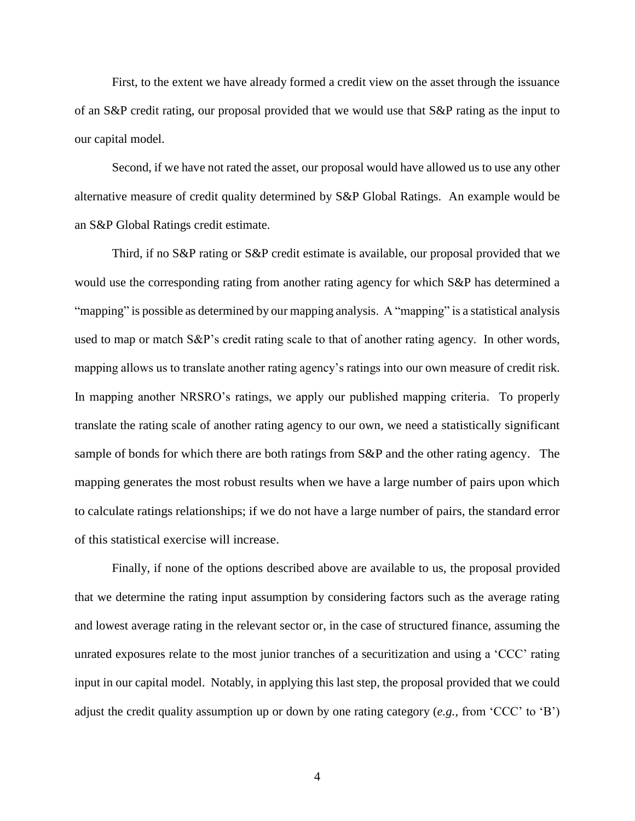First, to the extent we have already formed a credit view on the asset through the issuance of an S&P credit rating, our proposal provided that we would use that S&P rating as the input to our capital model.

Second, if we have not rated the asset, our proposal would have allowed us to use any other alternative measure of credit quality determined by S&P Global Ratings. An example would be an S&P Global Ratings credit estimate.

Third, if no S&P rating or S&P credit estimate is available, our proposal provided that we would use the corresponding rating from another rating agency for which S&P has determined a "mapping" is possible as determined by our mapping analysis. A "mapping" is a statistical analysis used to map or match S&P's credit rating scale to that of another rating agency. In other words, mapping allows us to translate another rating agency's ratings into our own measure of credit risk. In mapping another NRSRO's ratings, we apply our published mapping criteria. To properly translate the rating scale of another rating agency to our own, we need a statistically significant sample of bonds for which there are both ratings from S&P and the other rating agency. The mapping generates the most robust results when we have a large number of pairs upon which to calculate ratings relationships; if we do not have a large number of pairs, the standard error of this statistical exercise will increase.

Finally, if none of the options described above are available to us, the proposal provided that we determine the rating input assumption by considering factors such as the average rating and lowest average rating in the relevant sector or, in the case of structured finance, assuming the unrated exposures relate to the most junior tranches of a securitization and using a 'CCC' rating input in our capital model. Notably, in applying this last step, the proposal provided that we could adjust the credit quality assumption up or down by one rating category (*e.g.,* from 'CCC' to 'B')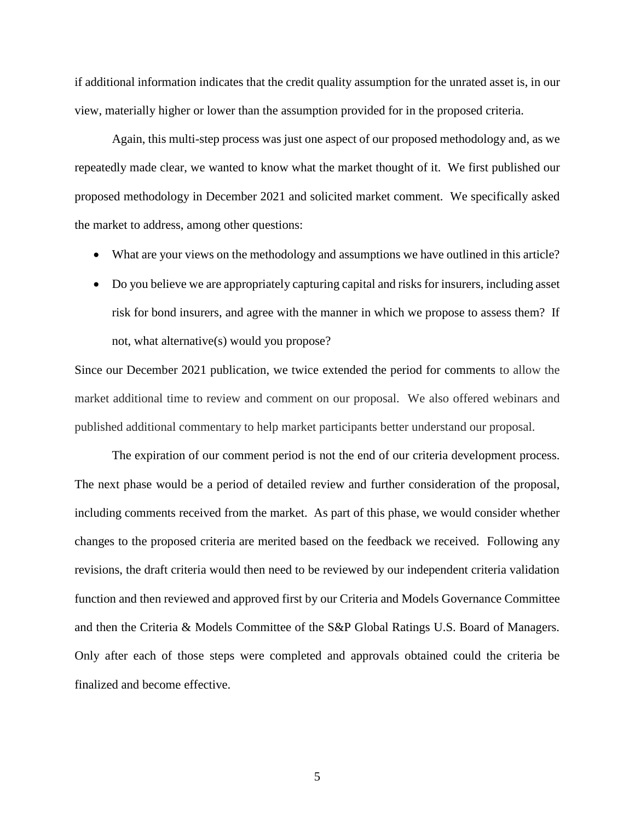if additional information indicates that the credit quality assumption for the unrated asset is, in our view, materially higher or lower than the assumption provided for in the proposed criteria.

Again, this multi-step process was just one aspect of our proposed methodology and, as we repeatedly made clear, we wanted to know what the market thought of it. We first published our proposed methodology in December 2021 and solicited market comment. We specifically asked the market to address, among other questions:

- What are your views on the methodology and assumptions we have outlined in this article?
- Do you believe we are appropriately capturing capital and risks for insurers, including asset risk for bond insurers, and agree with the manner in which we propose to assess them? If not, what alternative(s) would you propose?

Since our December 2021 publication, we twice extended the period for comments to allow the market additional time to review and comment on our proposal. We also offered webinars and published additional commentary to help market participants better understand our proposal.

The expiration of our comment period is not the end of our criteria development process. The next phase would be a period of detailed review and further consideration of the proposal, including comments received from the market. As part of this phase, we would consider whether changes to the proposed criteria are merited based on the feedback we received. Following any revisions, the draft criteria would then need to be reviewed by our independent criteria validation function and then reviewed and approved first by our Criteria and Models Governance Committee and then the Criteria & Models Committee of the S&P Global Ratings U.S. Board of Managers. Only after each of those steps were completed and approvals obtained could the criteria be finalized and become effective.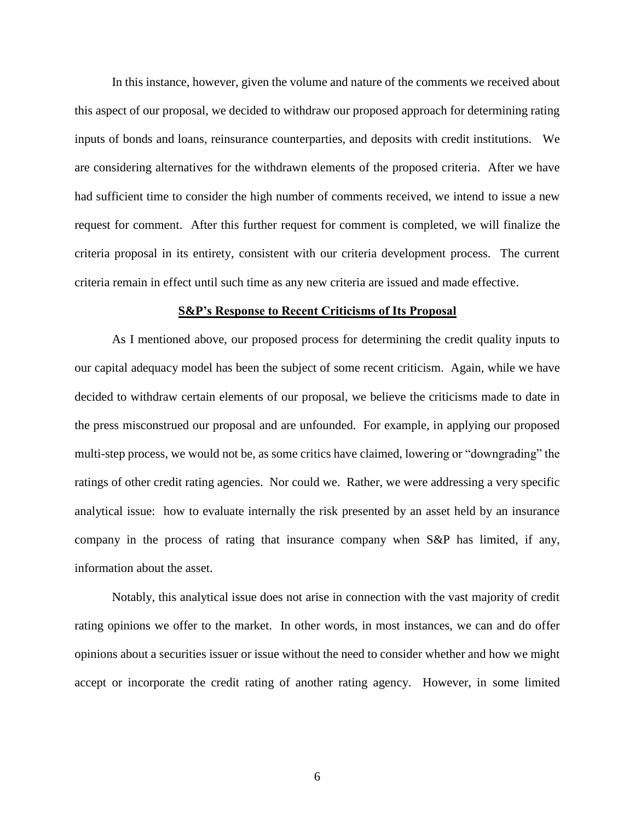In this instance, however, given the volume and nature of the comments we received about this aspect of our proposal, we decided to withdraw our proposed approach for determining rating inputs of bonds and loans, reinsurance counterparties, and deposits with credit institutions. We are considering alternatives for the withdrawn elements of the proposed criteria. After we have had sufficient time to consider the high number of comments received, we intend to issue a new request for comment. After this further request for comment is completed, we will finalize the criteria proposal in its entirety, consistent with our criteria development process. The current criteria remain in effect until such time as any new criteria are issued and made effective.

### **S&P's Response to Recent Criticisms of Its Proposal**

As I mentioned above, our proposed process for determining the credit quality inputs to our capital adequacy model has been the subject of some recent criticism. Again, while we have decided to withdraw certain elements of our proposal, we believe the criticisms made to date in the press misconstrued our proposal and are unfounded. For example, in applying our proposed multi-step process, we would not be, as some critics have claimed, lowering or "downgrading" the ratings of other credit rating agencies. Nor could we. Rather, we were addressing a very specific analytical issue: how to evaluate internally the risk presented by an asset held by an insurance company in the process of rating that insurance company when S&P has limited, if any, information about the asset.

Notably, this analytical issue does not arise in connection with the vast majority of credit rating opinions we offer to the market. In other words, in most instances, we can and do offer opinions about a securities issuer or issue without the need to consider whether and how we might accept or incorporate the credit rating of another rating agency. However, in some limited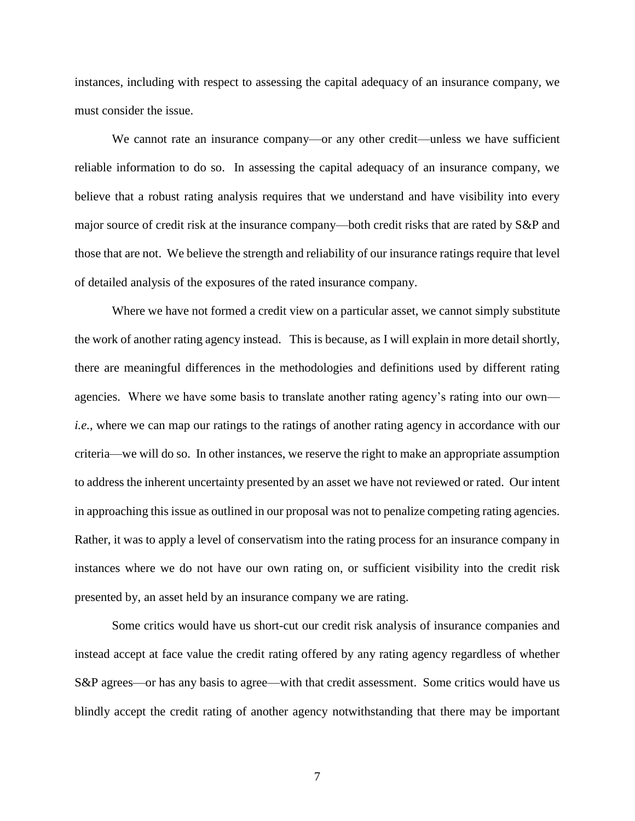instances, including with respect to assessing the capital adequacy of an insurance company, we must consider the issue.

We cannot rate an insurance company—or any other credit—unless we have sufficient reliable information to do so. In assessing the capital adequacy of an insurance company, we believe that a robust rating analysis requires that we understand and have visibility into every major source of credit risk at the insurance company—both credit risks that are rated by S&P and those that are not. We believe the strength and reliability of our insurance ratings require that level of detailed analysis of the exposures of the rated insurance company.

Where we have not formed a credit view on a particular asset, we cannot simply substitute the work of another rating agency instead. This is because, as I will explain in more detail shortly, there are meaningful differences in the methodologies and definitions used by different rating agencies. Where we have some basis to translate another rating agency's rating into our own *i.e.*, where we can map our ratings to the ratings of another rating agency in accordance with our criteria—we will do so. In other instances, we reserve the right to make an appropriate assumption to address the inherent uncertainty presented by an asset we have not reviewed or rated. Our intent in approaching this issue as outlined in our proposal was not to penalize competing rating agencies. Rather, it was to apply a level of conservatism into the rating process for an insurance company in instances where we do not have our own rating on, or sufficient visibility into the credit risk presented by, an asset held by an insurance company we are rating.

Some critics would have us short-cut our credit risk analysis of insurance companies and instead accept at face value the credit rating offered by any rating agency regardless of whether S&P agrees—or has any basis to agree—with that credit assessment. Some critics would have us blindly accept the credit rating of another agency notwithstanding that there may be important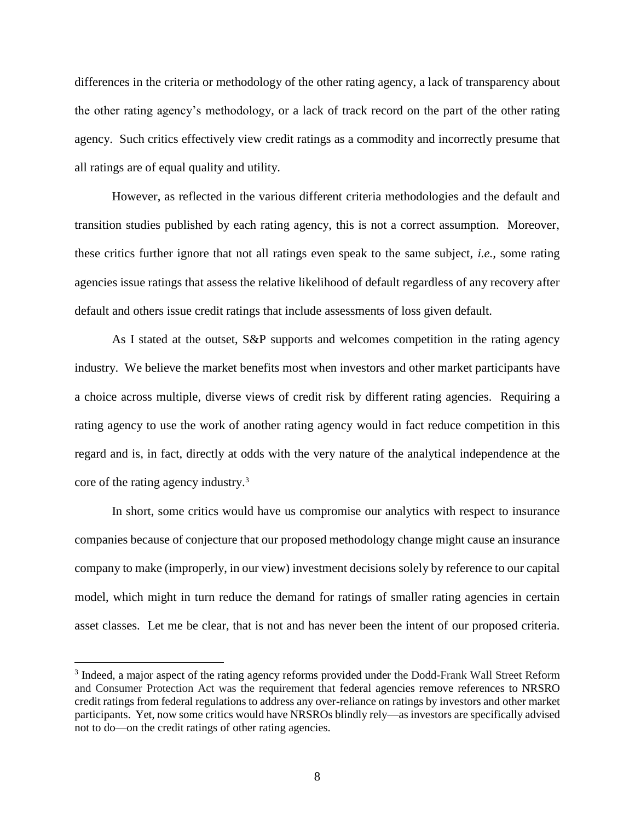differences in the criteria or methodology of the other rating agency, a lack of transparency about the other rating agency's methodology, or a lack of track record on the part of the other rating agency. Such critics effectively view credit ratings as a commodity and incorrectly presume that all ratings are of equal quality and utility.

However, as reflected in the various different criteria methodologies and the default and transition studies published by each rating agency, this is not a correct assumption. Moreover, these critics further ignore that not all ratings even speak to the same subject, *i.e.,* some rating agencies issue ratings that assess the relative likelihood of default regardless of any recovery after default and others issue credit ratings that include assessments of loss given default.

As I stated at the outset, S&P supports and welcomes competition in the rating agency industry. We believe the market benefits most when investors and other market participants have a choice across multiple, diverse views of credit risk by different rating agencies. Requiring a rating agency to use the work of another rating agency would in fact reduce competition in this regard and is, in fact, directly at odds with the very nature of the analytical independence at the core of the rating agency industry.<sup>3</sup>

In short, some critics would have us compromise our analytics with respect to insurance companies because of conjecture that our proposed methodology change might cause an insurance company to make (improperly, in our view) investment decisions solely by reference to our capital model, which might in turn reduce the demand for ratings of smaller rating agencies in certain asset classes. Let me be clear, that is not and has never been the intent of our proposed criteria.

 $\overline{a}$ 

<sup>&</sup>lt;sup>3</sup> Indeed, a major aspect of the rating agency reforms provided under the Dodd-Frank Wall Street Reform and Consumer Protection Act was the requirement that federal agencies remove references to NRSRO credit ratings from federal regulations to address any over-reliance on ratings by investors and other market participants. Yet, now some critics would have NRSROs blindly rely—as investors are specifically advised not to do—on the credit ratings of other rating agencies.